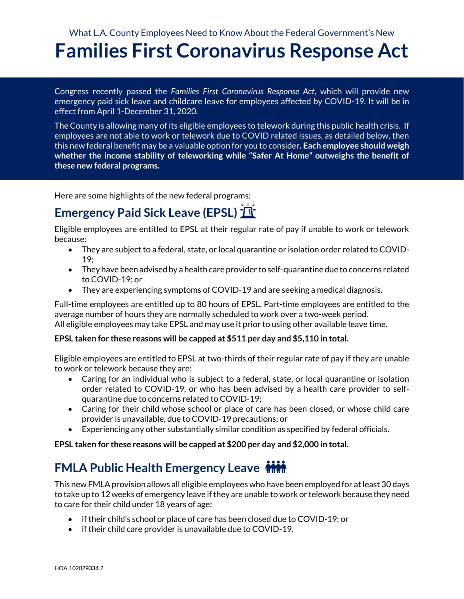## What L.A. County Employees Need to Know About the Federal Government's New **Families First Coronavirus Response Act**

Congress recently passed the *Families First Coronavirus Response Act*, which will provide new emergency paid sick leave and childcare leave for employees affected by COVID-19. It will be in effect from April 1-December 31, 2020.

The County is allowing many of its eligible employees to telework during this public health crisis. If employees are not able to work or telework due to COVID related issues, as detailed below, then this new federal benefit may be a valuable option for you to consider**. Each employee should weigh whether the income stability of teleworking while "Safer At Home" outweighs the benefit of these new federal programs.**

Here are some highlights of the new federal programs:

# **Emergency Paid Sick Leave (EPSL)**

Eligible employees are entitled to EPSL at their regular rate of pay if unable to work or telework because:

- They are subject to a federal, state, or local quarantine or isolation order related to COVID-19;
- They have been advised by a health care provider to self-quarantine due to concerns related to COVID-19; or
- They are experiencing symptoms of COVID-19 and are seeking a medical diagnosis.

Full-time employees are entitled up to 80 hours of EPSL. Part-time employees are entitled to the average number of hours they are normally scheduled to work over a two-week period. All eligible employees may take EPSL and may use it prior to using other available leave time.

#### **EPSL taken for these reasons will be capped at \$511 per day and \$5,110 in total.**

Eligible employees are entitled to EPSL at two-thirds of their regular rate of pay if they are unable to work or telework because they are:

- Caring for an individual who is subject to a federal, state, or local quarantine or isolation order related to COVID-19, or who has been advised by a health care provider to selfquarantine due to concerns related to COVID-19;
- Caring for their child whose school or place of care has been closed, or whose child care provider is unavailable, due to COVID-19 precautions; or
- Experiencing any other substantially similar condition as specified by federal officials.

**EPSL taken for these reasons will be capped at \$200 per day and \$2,000 in total.** 

### **FMLA Public Health Emergency Leave**

This new FMLA provision allows all eligible employees who have been employed for at least 30 days to take up to 12 weeks of emergency leave if they are unable to work or telework because they need to care for their child under 18 years of age:

- if their child's school or place of care has been closed due to COVID-19; or
- if their child care provider is unavailable due to COVID-19.